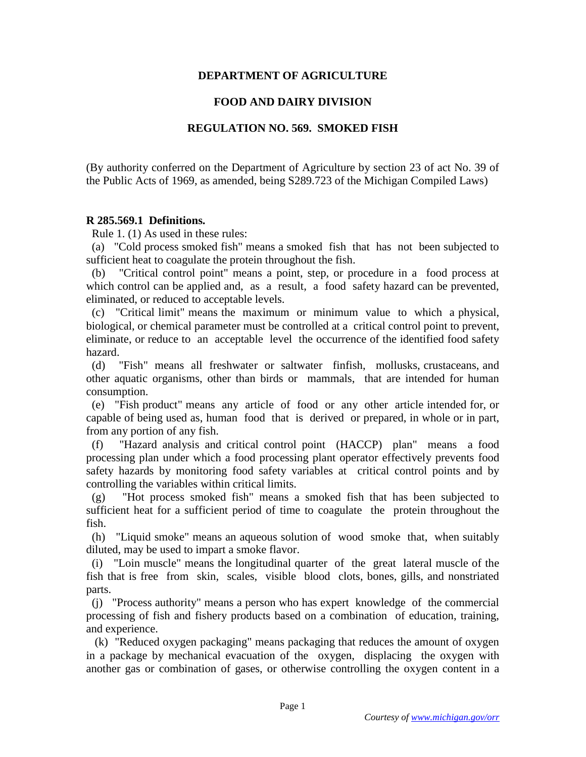# **DEPARTMENT OF AGRICULTURE**

# **FOOD AND DAIRY DIVISION**

### **REGULATION NO. 569. SMOKED FISH**

(By authority conferred on the Department of Agriculture by section 23 of act No. 39 of the Public Acts of 1969, as amended, being S289.723 of the Michigan Compiled Laws)

#### **R 285.569.1 Definitions.**

Rule 1. (1) As used in these rules:

 (a) "Cold process smoked fish" means a smoked fish that has not been subjected to sufficient heat to coagulate the protein throughout the fish.

 (b) "Critical control point" means a point, step, or procedure in a food process at which control can be applied and, as a result, a food safety hazard can be prevented, eliminated, or reduced to acceptable levels.

 (c) "Critical limit" means the maximum or minimum value to which a physical, biological, or chemical parameter must be controlled at a critical control point to prevent, eliminate, or reduce to an acceptable level the occurrence of the identified food safety hazard.

 (d) "Fish" means all freshwater or saltwater finfish, mollusks, crustaceans, and other aquatic organisms, other than birds or mammals, that are intended for human consumption.

 (e) "Fish product" means any article of food or any other article intended for, or capable of being used as, human food that is derived or prepared, in whole or in part, from any portion of any fish.

 (f) "Hazard analysis and critical control point (HACCP) plan" means a food processing plan under which a food processing plant operator effectively prevents food safety hazards by monitoring food safety variables at critical control points and by controlling the variables within critical limits.

 (g) "Hot process smoked fish" means a smoked fish that has been subjected to sufficient heat for a sufficient period of time to coagulate the protein throughout the fish.

 (h) "Liquid smoke" means an aqueous solution of wood smoke that, when suitably diluted, may be used to impart a smoke flavor.

 (i) "Loin muscle" means the longitudinal quarter of the great lateral muscle of the fish that is free from skin, scales, visible blood clots, bones, gills, and nonstriated parts.

 (j) "Process authority" means a person who has expert knowledge of the commercial processing of fish and fishery products based on a combination of education, training, and experience.

 (k) "Reduced oxygen packaging" means packaging that reduces the amount of oxygen in a package by mechanical evacuation of the oxygen, displacing the oxygen with another gas or combination of gases, or otherwise controlling the oxygen content in a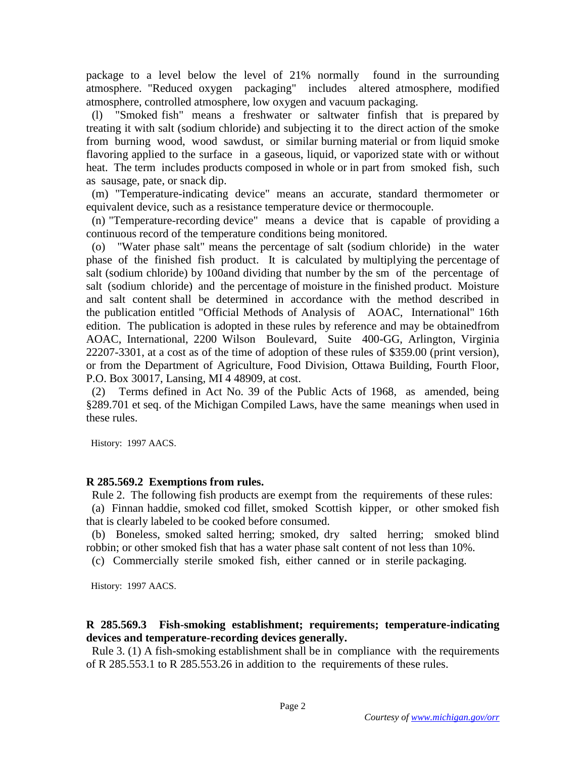package to a level below the level of 21% normally found in the surrounding atmosphere. "Reduced oxygen packaging" includes altered atmosphere, modified atmosphere, controlled atmosphere, low oxygen and vacuum packaging.

 (l) "Smoked fish" means a freshwater or saltwater finfish that is prepared by treating it with salt (sodium chloride) and subjecting it to the direct action of the smoke from burning wood, wood sawdust, or similar burning material or from liquid smoke flavoring applied to the surface in a gaseous, liquid, or vaporized state with or without heat. The term includes products composed in whole or in part from smoked fish, such as sausage, pate, or snack dip.

 (m) "Temperature-indicating device" means an accurate, standard thermometer or equivalent device, such as a resistance temperature device or thermocouple.

 (n) "Temperature-recording device" means a device that is capable of providing a continuous record of the temperature conditions being monitored.

 (o) "Water phase salt" means the percentage of salt (sodium chloride) in the water phase of the finished fish product. It is calculated by multiplying the percentage of salt (sodium chloride) by 100and dividing that number by the sm of the percentage of salt (sodium chloride) and the percentage of moisture in the finished product. Moisture and salt content shall be determined in accordance with the method described in the publication entitled "Official Methods of Analysis of AOAC, International" 16th edition. The publication is adopted in these rules by reference and may be obtainedfrom AOAC, International, 2200 Wilson Boulevard, Suite 400-GG, Arlington, Virginia 22207-3301, at a cost as of the time of adoption of these rules of \$359.00 (print version), or from the Department of Agriculture, Food Division, Ottawa Building, Fourth Floor, P.O. Box 30017, Lansing, MI 4 48909, at cost.

 (2) Terms defined in Act No. 39 of the Public Acts of 1968, as amended, being §289.701 et seq. of the Michigan Compiled Laws, have the same meanings when used in these rules.

History: 1997 AACS.

### **R 285.569.2 Exemptions from rules.**

Rule 2. The following fish products are exempt from the requirements of these rules:

 (a) Finnan haddie, smoked cod fillet, smoked Scottish kipper, or other smoked fish that is clearly labeled to be cooked before consumed.

 (b) Boneless, smoked salted herring; smoked, dry salted herring; smoked blind robbin; or other smoked fish that has a water phase salt content of not less than 10%.

(c) Commercially sterile smoked fish, either canned or in sterile packaging.

History: 1997 AACS.

# **R 285.569.3 Fish-smoking establishment; requirements; temperature-indicating devices and temperature-recording devices generally.**

 Rule 3. (1) A fish-smoking establishment shall be in compliance with the requirements of R 285.553.1 to R 285.553.26 in addition to the requirements of these rules.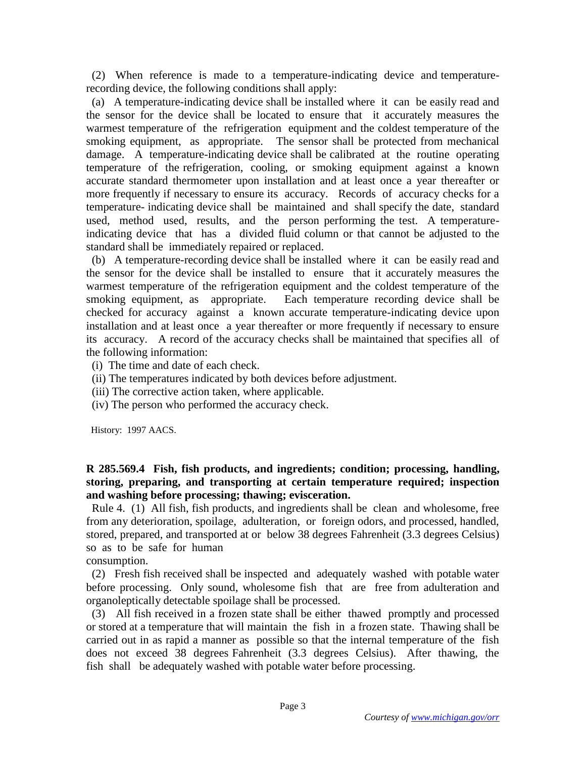(2) When reference is made to a temperature-indicating device and temperaturerecording device, the following conditions shall apply:

 (a) A temperature-indicating device shall be installed where it can be easily read and the sensor for the device shall be located to ensure that it accurately measures the warmest temperature of the refrigeration equipment and the coldest temperature of the smoking equipment, as appropriate. The sensor shall be protected from mechanical damage. A temperature-indicating device shall be calibrated at the routine operating temperature of the refrigeration, cooling, or smoking equipment against a known accurate standard thermometer upon installation and at least once a year thereafter or more frequently if necessary to ensure its accuracy. Records of accuracy checks for a temperature- indicating device shall be maintained and shall specify the date, standard used, method used, results, and the person performing the test. A temperatureindicating device that has a divided fluid column or that cannot be adjusted to the standard shall be immediately repaired or replaced.

 (b) A temperature-recording device shall be installed where it can be easily read and the sensor for the device shall be installed to ensure that it accurately measures the warmest temperature of the refrigeration equipment and the coldest temperature of the smoking equipment, as appropriate. Each temperature recording device shall be checked for accuracy against a known accurate temperature-indicating device upon installation and at least once a year thereafter or more frequently if necessary to ensure its accuracy. A record of the accuracy checks shall be maintained that specifies all of the following information:

- (i) The time and date of each check.
- (ii) The temperatures indicated by both devices before adjustment.
- (iii) The corrective action taken, where applicable.
- (iv) The person who performed the accuracy check.

History: 1997 AACS.

# **R 285.569.4 Fish, fish products, and ingredients; condition; processing, handling, storing, preparing, and transporting at certain temperature required; inspection and washing before processing; thawing; evisceration.**

 Rule 4. (1) All fish, fish products, and ingredients shall be clean and wholesome, free from any deterioration, spoilage, adulteration, or foreign odors, and processed, handled, stored, prepared, and transported at or below 38 degrees Fahrenheit (3.3 degrees Celsius) so as to be safe for human

consumption.

 (2) Fresh fish received shall be inspected and adequately washed with potable water before processing. Only sound, wholesome fish that are free from adulteration and organoleptically detectable spoilage shall be processed.

 (3) All fish received in a frozen state shall be either thawed promptly and processed or stored at a temperature that will maintain the fish in a frozen state. Thawing shall be carried out in as rapid a manner as possible so that the internal temperature of the fish does not exceed 38 degrees Fahrenheit (3.3 degrees Celsius). After thawing, the fish shall be adequately washed with potable water before processing.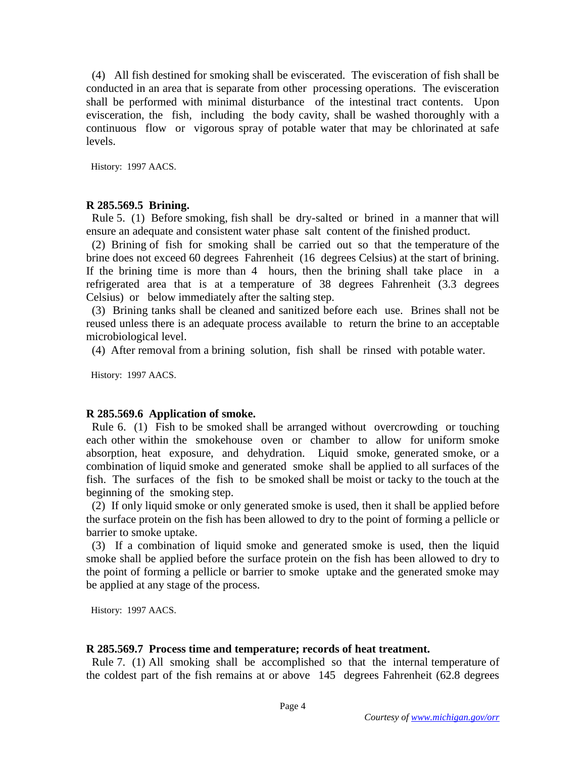(4) All fish destined for smoking shall be eviscerated. The evisceration of fish shall be conducted in an area that is separate from other processing operations. The evisceration shall be performed with minimal disturbance of the intestinal tract contents. Upon evisceration, the fish, including the body cavity, shall be washed thoroughly with a continuous flow or vigorous spray of potable water that may be chlorinated at safe levels.

History: 1997 AACS.

#### **R 285.569.5 Brining.**

 Rule 5. (1) Before smoking, fish shall be dry-salted or brined in a manner that will ensure an adequate and consistent water phase salt content of the finished product.

 (2) Brining of fish for smoking shall be carried out so that the temperature of the brine does not exceed 60 degrees Fahrenheit (16 degrees Celsius) at the start of brining. If the brining time is more than 4 hours, then the brining shall take place in a refrigerated area that is at a temperature of 38 degrees Fahrenheit (3.3 degrees Celsius) or below immediately after the salting step.

 (3) Brining tanks shall be cleaned and sanitized before each use. Brines shall not be reused unless there is an adequate process available to return the brine to an acceptable microbiological level.

(4) After removal from a brining solution, fish shall be rinsed with potable water.

History: 1997 AACS.

#### **R 285.569.6 Application of smoke.**

 Rule 6. (1) Fish to be smoked shall be arranged without overcrowding or touching each other within the smokehouse oven or chamber to allow for uniform smoke absorption, heat exposure, and dehydration. Liquid smoke, generated smoke, or a combination of liquid smoke and generated smoke shall be applied to all surfaces of the fish. The surfaces of the fish to be smoked shall be moist or tacky to the touch at the beginning of the smoking step.

 (2) If only liquid smoke or only generated smoke is used, then it shall be applied before the surface protein on the fish has been allowed to dry to the point of forming a pellicle or barrier to smoke uptake.

 (3) If a combination of liquid smoke and generated smoke is used, then the liquid smoke shall be applied before the surface protein on the fish has been allowed to dry to the point of forming a pellicle or barrier to smoke uptake and the generated smoke may be applied at any stage of the process.

History: 1997 AACS.

#### **R 285.569.7 Process time and temperature; records of heat treatment.**

 Rule 7. (1) All smoking shall be accomplished so that the internal temperature of the coldest part of the fish remains at or above 145 degrees Fahrenheit (62.8 degrees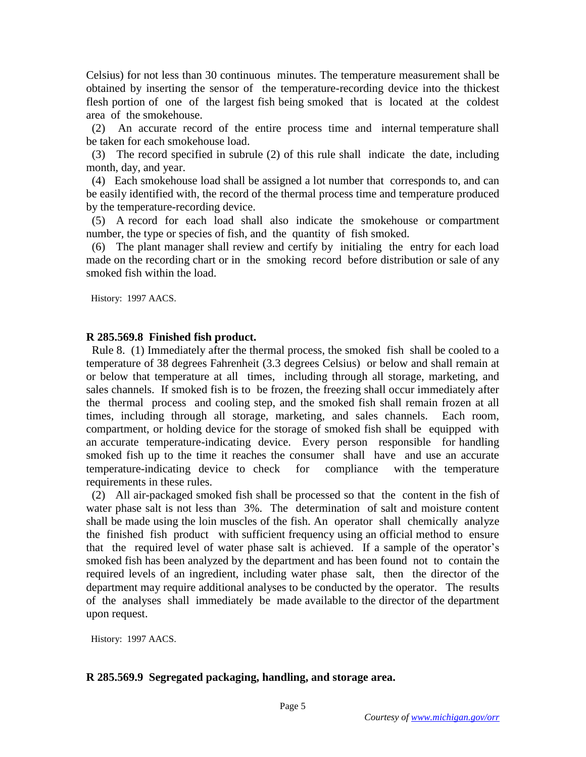Celsius) for not less than 30 continuous minutes. The temperature measurement shall be obtained by inserting the sensor of the temperature-recording device into the thickest flesh portion of one of the largest fish being smoked that is located at the coldest area of the smokehouse.

 (2) An accurate record of the entire process time and internal temperature shall be taken for each smokehouse load.

 (3) The record specified in subrule (2) of this rule shall indicate the date, including month, day, and year.

 (4) Each smokehouse load shall be assigned a lot number that corresponds to, and can be easily identified with, the record of the thermal process time and temperature produced by the temperature-recording device.

 (5) A record for each load shall also indicate the smokehouse or compartment number, the type or species of fish, and the quantity of fish smoked.

 (6) The plant manager shall review and certify by initialing the entry for each load made on the recording chart or in the smoking record before distribution or sale of any smoked fish within the load.

History: 1997 AACS.

### **R 285.569.8 Finished fish product.**

 Rule 8. (1) Immediately after the thermal process, the smoked fish shall be cooled to a temperature of 38 degrees Fahrenheit (3.3 degrees Celsius) or below and shall remain at or below that temperature at all times, including through all storage, marketing, and sales channels. If smoked fish is to be frozen, the freezing shall occur immediately after the thermal process and cooling step, and the smoked fish shall remain frozen at all times, including through all storage, marketing, and sales channels. Each room, compartment, or holding device for the storage of smoked fish shall be equipped with an accurate temperature-indicating device. Every person responsible for handling smoked fish up to the time it reaches the consumer shall have and use an accurate temperature-indicating device to check for compliance with the temperature requirements in these rules.

 (2) All air-packaged smoked fish shall be processed so that the content in the fish of water phase salt is not less than 3%. The determination of salt and moisture content shall be made using the loin muscles of the fish. An operator shall chemically analyze the finished fish product with sufficient frequency using an official method to ensure that the required level of water phase salt is achieved. If a sample of the operator's smoked fish has been analyzed by the department and has been found not to contain the required levels of an ingredient, including water phase salt, then the director of the department may require additional analyses to be conducted by the operator. The results of the analyses shall immediately be made available to the director of the department upon request.

History: 1997 AACS.

### **R 285.569.9 Segregated packaging, handling, and storage area.**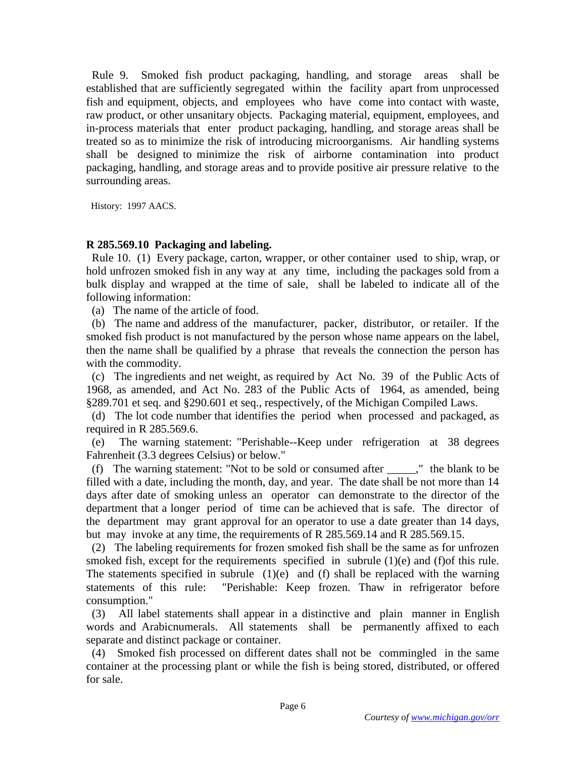Rule 9. Smoked fish product packaging, handling, and storage areas shall be established that are sufficiently segregated within the facility apart from unprocessed fish and equipment, objects, and employees who have come into contact with waste, raw product, or other unsanitary objects. Packaging material, equipment, employees, and in-process materials that enter product packaging, handling, and storage areas shall be treated so as to minimize the risk of introducing microorganisms. Air handling systems shall be designed to minimize the risk of airborne contamination into product packaging, handling, and storage areas and to provide positive air pressure relative to the surrounding areas.

History: 1997 AACS.

### **R 285.569.10 Packaging and labeling.**

 Rule 10. (1) Every package, carton, wrapper, or other container used to ship, wrap, or hold unfrozen smoked fish in any way at any time, including the packages sold from a bulk display and wrapped at the time of sale, shall be labeled to indicate all of the following information:

(a) The name of the article of food.

 (b) The name and address of the manufacturer, packer, distributor, or retailer. If the smoked fish product is not manufactured by the person whose name appears on the label, then the name shall be qualified by a phrase that reveals the connection the person has with the commodity.

 (c) The ingredients and net weight, as required by Act No. 39 of the Public Acts of 1968, as amended, and Act No. 283 of the Public Acts of 1964, as amended, being §289.701 et seq. and §290.601 et seq., respectively, of the Michigan Compiled Laws.

 (d) The lot code number that identifies the period when processed and packaged, as required in R 285.569.6.

 (e) The warning statement: "Perishable--Keep under refrigeration at 38 degrees Fahrenheit (3.3 degrees Celsius) or below."

(f) The warning statement: "Not to be sold or consumed after  $\ddot{\hspace{1cm}}$ ," the blank to be filled with a date, including the month, day, and year. The date shall be not more than 14 days after date of smoking unless an operator can demonstrate to the director of the department that a longer period of time can be achieved that is safe. The director of the department may grant approval for an operator to use a date greater than 14 days, but may invoke at any time, the requirements of R 285.569.14 and R 285.569.15.

 (2) The labeling requirements for frozen smoked fish shall be the same as for unfrozen smoked fish, except for the requirements specified in subrule (1)(e) and (f)of this rule. The statements specified in subrule  $(1)(e)$  and  $(f)$  shall be replaced with the warning statements of this rule: "Perishable: Keep frozen. Thaw in refrigerator before consumption."

 (3) All label statements shall appear in a distinctive and plain manner in English words and Arabicnumerals. All statements shall be permanently affixed to each separate and distinct package or container.

 (4) Smoked fish processed on different dates shall not be commingled in the same container at the processing plant or while the fish is being stored, distributed, or offered for sale.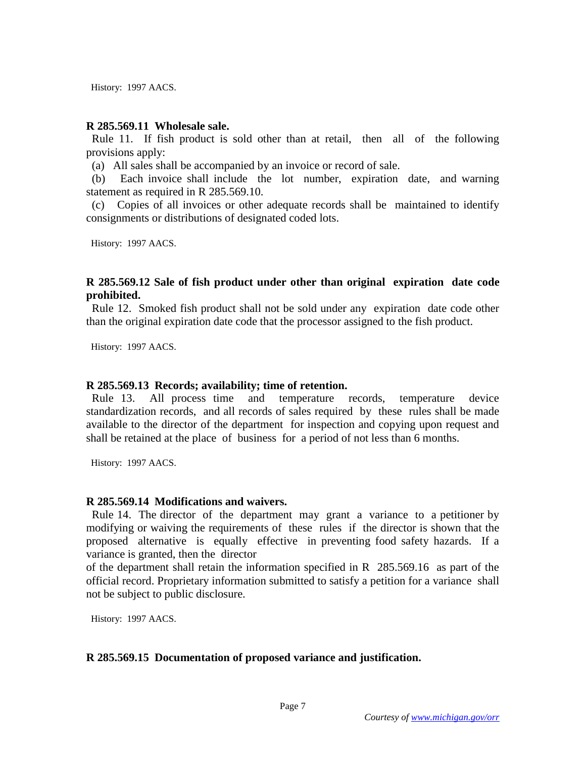History: 1997 AACS.

#### **R 285.569.11 Wholesale sale.**

 Rule 11. If fish product is sold other than at retail, then all of the following provisions apply:

(a) All sales shall be accompanied by an invoice or record of sale.

 (b) Each invoice shall include the lot number, expiration date, and warning statement as required in R 285.569.10.

 (c) Copies of all invoices or other adequate records shall be maintained to identify consignments or distributions of designated coded lots.

History: 1997 AACS.

### **R 285.569.12 Sale of fish product under other than original expiration date code prohibited.**

 Rule 12. Smoked fish product shall not be sold under any expiration date code other than the original expiration date code that the processor assigned to the fish product.

History: 1997 AACS.

### **R 285.569.13 Records; availability; time of retention.**

 Rule 13. All process time and temperature records, temperature device standardization records, and all records of sales required by these rules shall be made available to the director of the department for inspection and copying upon request and shall be retained at the place of business for a period of not less than 6 months.

History: 1997 AACS.

#### **R 285.569.14 Modifications and waivers.**

 Rule 14. The director of the department may grant a variance to a petitioner by modifying or waiving the requirements of these rules if the director is shown that the proposed alternative is equally effective in preventing food safety hazards. If a variance is granted, then the director

of the department shall retain the information specified in R 285.569.16 as part of the official record. Proprietary information submitted to satisfy a petition for a variance shall not be subject to public disclosure.

History: 1997 AACS.

### **R 285.569.15 Documentation of proposed variance and justification.**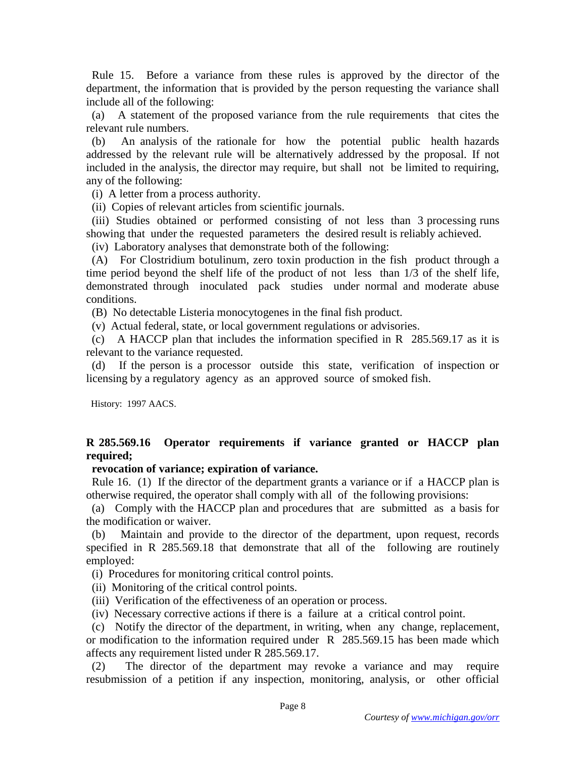Rule 15. Before a variance from these rules is approved by the director of the department, the information that is provided by the person requesting the variance shall include all of the following:

 (a) A statement of the proposed variance from the rule requirements that cites the relevant rule numbers.

 (b) An analysis of the rationale for how the potential public health hazards addressed by the relevant rule will be alternatively addressed by the proposal. If not included in the analysis, the director may require, but shall not be limited to requiring, any of the following:

(i) A letter from a process authority.

(ii) Copies of relevant articles from scientific journals.

 (iii) Studies obtained or performed consisting of not less than 3 processing runs showing that under the requested parameters the desired result is reliably achieved.

(iv) Laboratory analyses that demonstrate both of the following:

 (A) For Clostridium botulinum, zero toxin production in the fish product through a time period beyond the shelf life of the product of not less than 1/3 of the shelf life, demonstrated through inoculated pack studies under normal and moderate abuse conditions.

(B) No detectable Listeria monocytogenes in the final fish product.

(v) Actual federal, state, or local government regulations or advisories.

 (c) A HACCP plan that includes the information specified in R 285.569.17 as it is relevant to the variance requested.

 (d) If the person is a processor outside this state, verification of inspection or licensing by a regulatory agency as an approved source of smoked fish.

History: 1997 AACS.

# **R 285.569.16 Operator requirements if variance granted or HACCP plan required;**

### **revocation of variance; expiration of variance.**

 Rule 16. (1) If the director of the department grants a variance or if a HACCP plan is otherwise required, the operator shall comply with all of the following provisions:

 (a) Comply with the HACCP plan and procedures that are submitted as a basis for the modification or waiver.

 (b) Maintain and provide to the director of the department, upon request, records specified in R 285.569.18 that demonstrate that all of the following are routinely employed:

(i) Procedures for monitoring critical control points.

(ii) Monitoring of the critical control points.

(iii) Verification of the effectiveness of an operation or process.

(iv) Necessary corrective actions if there is a failure at a critical control point.

 (c) Notify the director of the department, in writing, when any change, replacement, or modification to the information required under R 285.569.15 has been made which affects any requirement listed under R 285.569.17.

 (2) The director of the department may revoke a variance and may require resubmission of a petition if any inspection, monitoring, analysis, or other official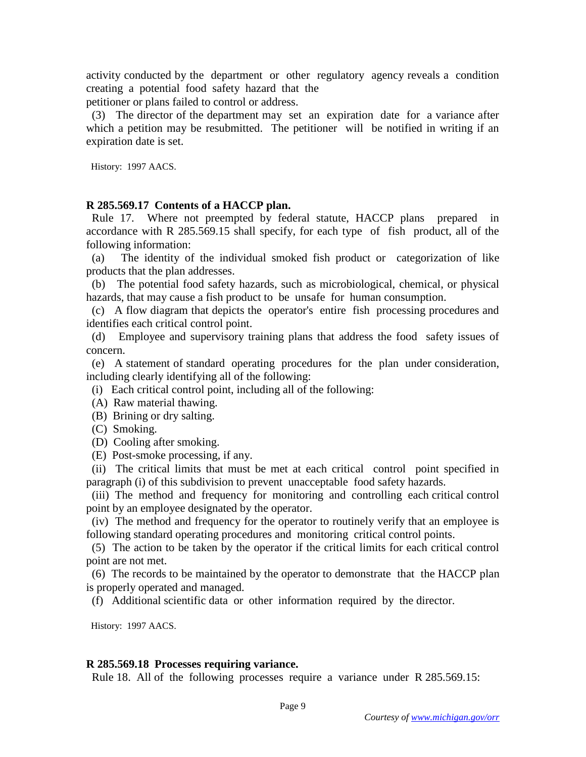activity conducted by the department or other regulatory agency reveals a condition creating a potential food safety hazard that the

petitioner or plans failed to control or address.

 (3) The director of the department may set an expiration date for a variance after which a petition may be resubmitted. The petitioner will be notified in writing if an expiration date is set.

History: 1997 AACS.

### **R 285.569.17 Contents of a HACCP plan.**

 Rule 17. Where not preempted by federal statute, HACCP plans prepared in accordance with R 285.569.15 shall specify, for each type of fish product, all of the following information:

 (a) The identity of the individual smoked fish product or categorization of like products that the plan addresses.

 (b) The potential food safety hazards, such as microbiological, chemical, or physical hazards, that may cause a fish product to be unsafe for human consumption.

 (c) A flow diagram that depicts the operator's entire fish processing procedures and identifies each critical control point.

 (d) Employee and supervisory training plans that address the food safety issues of concern.

 (e) A statement of standard operating procedures for the plan under consideration, including clearly identifying all of the following:

(i) Each critical control point, including all of the following:

- (A) Raw material thawing.
- (B) Brining or dry salting.
- (C) Smoking.
- (D) Cooling after smoking.
- (E) Post-smoke processing, if any.

 (ii) The critical limits that must be met at each critical control point specified in paragraph (i) of this subdivision to prevent unacceptable food safety hazards.

(iii) The method and frequency for monitoring and controlling each critical control point by an employee designated by the operator.

 (iv) The method and frequency for the operator to routinely verify that an employee is following standard operating procedures and monitoring critical control points.

 (5) The action to be taken by the operator if the critical limits for each critical control point are not met.

 (6) The records to be maintained by the operator to demonstrate that the HACCP plan is properly operated and managed.

(f) Additional scientific data or other information required by the director.

History: 1997 AACS.

#### **R 285.569.18 Processes requiring variance.**

Rule 18. All of the following processes require a variance under R 285.569.15: